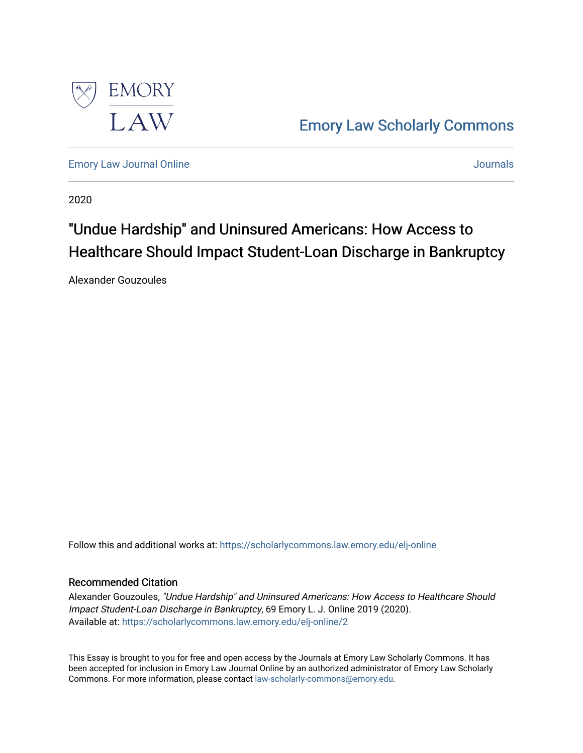

[Emory Law Scholarly Commons](https://scholarlycommons.law.emory.edu/) 

[Emory Law Journal Online](https://scholarlycommons.law.emory.edu/elj-online) [Journals](https://scholarlycommons.law.emory.edu/journals) 

2020

# "Undue Hardship" and Uninsured Americans: How Access to Healthcare Should Impact Student-Loan Discharge in Bankruptcy

Alexander Gouzoules

Follow this and additional works at: [https://scholarlycommons.law.emory.edu/elj-online](https://scholarlycommons.law.emory.edu/elj-online?utm_source=scholarlycommons.law.emory.edu%2Felj-online%2F2&utm_medium=PDF&utm_campaign=PDFCoverPages) 

# Recommended Citation

Alexander Gouzoules, "Undue Hardship" and Uninsured Americans: How Access to Healthcare Should Impact Student-Loan Discharge in Bankruptcy, 69 Emory L. J. Online 2019 (2020). Available at: [https://scholarlycommons.law.emory.edu/elj-online/2](https://scholarlycommons.law.emory.edu/elj-online/2?utm_source=scholarlycommons.law.emory.edu%2Felj-online%2F2&utm_medium=PDF&utm_campaign=PDFCoverPages) 

This Essay is brought to you for free and open access by the Journals at Emory Law Scholarly Commons. It has been accepted for inclusion in Emory Law Journal Online by an authorized administrator of Emory Law Scholarly Commons. For more information, please contact [law-scholarly-commons@emory.edu](mailto:law-scholarly-commons@emory.edu).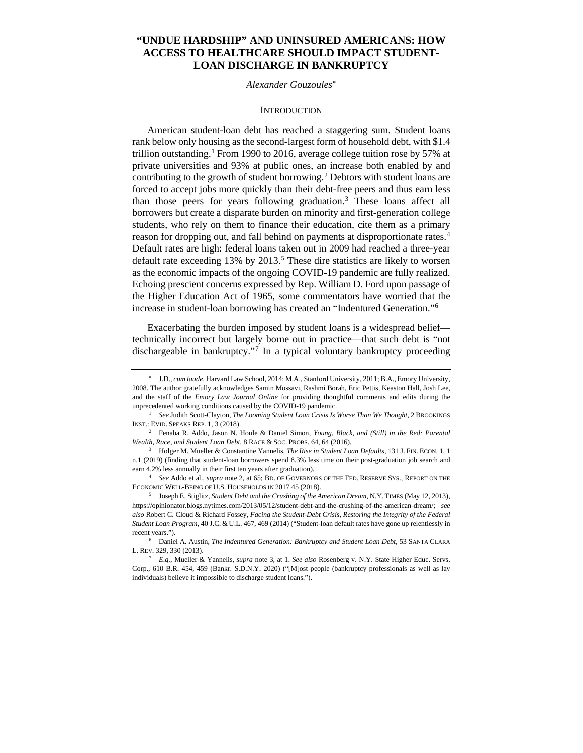# **"UNDUE HARDSHIP" AND UNINSURED AMERICANS: HOW ACCESS TO HEALTHCARE SHOULD IMPACT STUDENT-LOAN DISCHARGE IN BANKRUPTCY**

#### *Alexander Gouzoules*[∗](#page-1-0)

#### **INTRODUCTION**

American student-loan debt has reached a staggering sum. Student loans rank below only housing as the second-largest form of household debt, with \$1.4 trillion outstanding.<sup>[1](#page-1-1)</sup> From 1990 to 2016, average college tuition rose by 57% at private universities and 93% at public ones, an increase both enabled by and contributing to the growth of student borrowing.<sup>[2](#page-1-2)</sup> Debtors with student loans are forced to accept jobs more quickly than their debt-free peers and thus earn less than those peers for years following graduation.[3](#page-1-3) These loans affect all borrowers but create a disparate burden on minority and first-generation college students, who rely on them to finance their education, cite them as a primary reason for dropping out, and fall behind on payments at disproportionate rates.<sup>4</sup> Default rates are high: federal loans taken out in 2009 had reached a three-year default rate exceeding 13% by 2013.<sup>5</sup> These dire statistics are likely to worsen as the economic impacts of the ongoing COVID-19 pandemic are fully realized. Echoing prescient concerns expressed by Rep. William D. Ford upon passage of the Higher Education Act of 1965, some commentators have worried that the increase in student-loan borrowing has created an "Indentured Generation."[6](#page-1-6)

Exacerbating the burden imposed by student loans is a widespread belief technically incorrect but largely borne out in practice—that such debt is "not dischargeable in bankruptcy."<sup>[7](#page-1-7)</sup> In a typical voluntary bankruptcy proceeding

<span id="page-1-0"></span><sup>∗</sup> J.D., *cum laude*, Harvard Law School, 2014; M.A., Stanford University, 2011; B.A., Emory University, 2008. The author gratefully acknowledges Samin Mossavi, Rashmi Borah, Eric Pettis, Keaston Hall, Josh Lee, and the staff of the *Emory Law Journal Online* for providing thoughtful comments and edits during the unprecedented working conditions caused by the COVID-19 pandemic.

<span id="page-1-1"></span><sup>1</sup> *See* Judith Scott-Clayton, *The Looming Student Loan Crisis Is Worse Than We Thought*, 2 BROOKINGS INST.: EVID. SPEAKS REP. 1, 3 (2018).

<span id="page-1-2"></span><sup>2</sup> Fenaba R. Addo, Jason N. Houle & Daniel Simon, *Young, Black, and (Still) in the Red: Parental Wealth, Race, and Student Loan Debt*, 8 RACE & SOC. PROBS. 64, 64 (2016).

<span id="page-1-3"></span><sup>3</sup> Holger M. Mueller & Constantine Yannelis, *The Rise in Student Loan Defaults*, 131 J. FIN. ECON. 1, 1 n.1 (2019) (finding that student-loan borrowers spend 8.3% less time on their post-graduation job search and earn 4.2% less annually in their first ten years after graduation).

<span id="page-1-4"></span><sup>4</sup> *See* Addo et al., *supra* note 2, at 65; BD. OF GOVERNORS OF THE FED. RESERVE SYS., REPORT ON THE ECONOMIC WELL-BEING OF U.S. HOUSEHOLDS IN 2017 45 (2018). 5 Joseph E. Stiglitz, *Student Debt and the Crushing of the American Dream*, N.Y.TIMES (May 12, 2013),

<span id="page-1-5"></span>https://opinionator.blogs.nytimes.com/2013/05/12/student-debt-and-the-crushing-of-the-american-dream/; *see also* Robert C. Cloud & Richard Fossey, *Facing the Student-Debt Crisis, Restoring the Integrity of the Federal Student Loan Program*, 40 J.C. & U.L. 467, 469 (2014) ("Student-loan default rates have gone up relentlessly in recent years.").

<span id="page-1-6"></span><sup>6</sup> Daniel A. Austin, *The Indentured Generation: Bankruptcy and Student Loan Debt*, 53 SANTA CLARA L. REV. 329, 330 (2013).

<span id="page-1-7"></span><sup>7</sup> *E.g.*, Mueller & Yannelis, *supra* note 3, at 1. *See also* Rosenberg v. N.Y. State Higher Educ. Servs. Corp., 610 B.R. 454, 459 (Bankr. S.D.N.Y. 2020) ("[M]ost people (bankruptcy professionals as well as lay individuals) believe it impossible to discharge student loans.").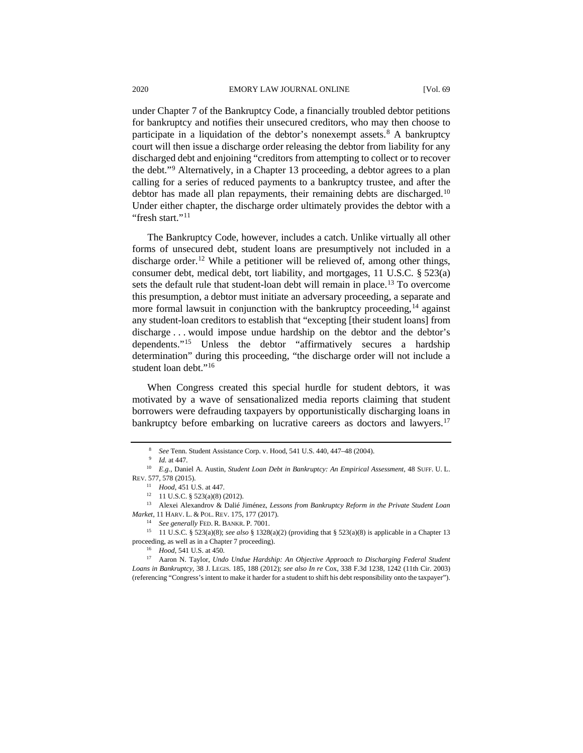under Chapter 7 of the Bankruptcy Code, a financially troubled debtor petitions for bankruptcy and notifies their unsecured creditors, who may then choose to participate in a liquidation of the debtor's nonexempt assets.<sup>[8](#page-2-0)</sup> A bankruptcy court will then issue a discharge order releasing the debtor from liability for any discharged debt and enjoining "creditors from attempting to collect or to recover the debt."[9](#page-2-1) Alternatively, in a Chapter 13 proceeding, a debtor agrees to a plan calling for a series of reduced payments to a bankruptcy trustee, and after the debtor has made all plan repayments, their remaining debts are discharged.<sup>[10](#page-2-2)</sup> Under either chapter, the discharge order ultimately provides the debtor with a "fresh start."<sup>[11](#page-2-3)</sup>

The Bankruptcy Code, however, includes a catch. Unlike virtually all other forms of unsecured debt, student loans are presumptively not included in a discharge order.<sup>[12](#page-2-4)</sup> While a petitioner will be relieved of, among other things, consumer debt, medical debt, tort liability, and mortgages, 11 U.S.C. § 523(a) sets the default rule that student-loan debt will remain in place.<sup>[13](#page-2-5)</sup> To overcome this presumption, a debtor must initiate an adversary proceeding, a separate and more formal lawsuit in conjunction with the bankruptcy proceeding,  $14$  against any student-loan creditors to establish that "excepting [their student loans] from discharge . . . would impose undue hardship on the debtor and the debtor's dependents."[15](#page-2-7) Unless the debtor "affirmatively secures a hardship determination" during this proceeding, "the discharge order will not include a student loan debt."[16](#page-2-8)

When Congress created this special hurdle for student debtors, it was motivated by a wave of sensationalized media reports claiming that student borrowers were defrauding taxpayers by opportunistically discharging loans in bankruptcy before embarking on lucrative careers as doctors and lawyers.<sup>[17](#page-2-9)</sup>

<sup>8</sup> *See* Tenn. Student Assistance Corp. v. Hood, 541 U.S. 440, 447–48 (2004).

<sup>9</sup> *Id.* at 447.

<span id="page-2-3"></span><span id="page-2-2"></span><span id="page-2-1"></span><span id="page-2-0"></span><sup>10</sup> *E.g.*, Daniel A. Austin, *Student Loan Debt in Bankruptcy: An Empirical Assessment*, 48 SUFF. U. L. REV. 577, 578 (2015).<br><sup>11</sup> *Hood*, 451 U.S. at 447.

<sup>&</sup>lt;sup>12</sup> 11 U.S.C. § 523(a)(8) (2012).

<span id="page-2-5"></span><span id="page-2-4"></span><sup>13</sup> Alexei Alexandrov & Dalié Jiménez, *Lessons from Bankruptcy Reform in the Private Student Loan Market*, 11 HARV. L. & POL. REV. 175, 177 (2017).

<sup>14</sup> *See generally* FED. R. BANKR. P. 7001.

<span id="page-2-7"></span><span id="page-2-6"></span><sup>15</sup> 11 U.S.C. § 523(a)(8); *see also* § 1328(a)(2) (providing that § 523(a)(8) is applicable in a Chapter 13 proceeding, as well as in a Chapter 7 proceeding). 16 *Hood*, 541 U.S. at 450. 17 Aaron N. Taylor, *Undo Undue Hardship: An Objective Approach to Discharging Federal Student* 

<span id="page-2-9"></span><span id="page-2-8"></span>*Loans in Bankruptcy*, 38 J. LEGIS. 185, 188 (2012); *see also In re* Cox, 338 F.3d 1238, 1242 (11th Cir. 2003) (referencing "Congress's intent to make it harder for a student to shift his debt responsibility onto the taxpayer").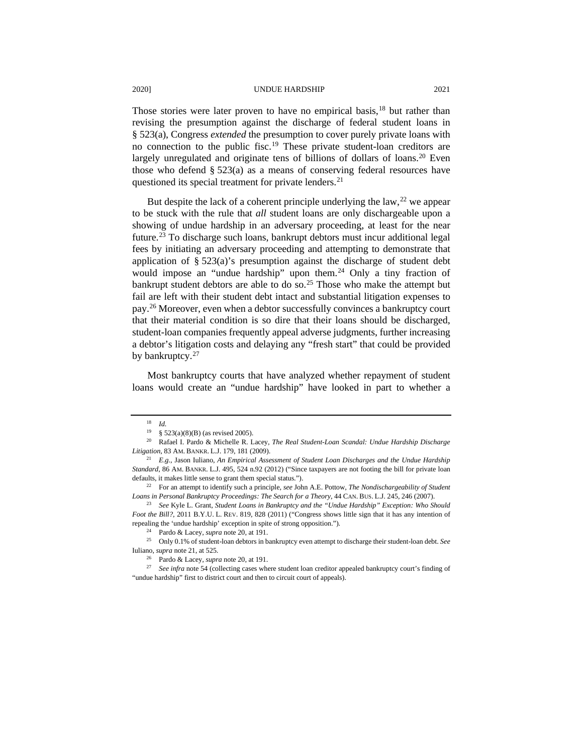Those stories were later proven to have no empirical basis,<sup>[18](#page-3-0)</sup> but rather than revising the presumption against the discharge of federal student loans in § 523(a), Congress *extended* the presumption to cover purely private loans with no connection to the public fisc.[19](#page-3-1) These private student-loan creditors are largely unregulated and originate tens of billions of dollars of loans.<sup>[20](#page-3-2)</sup> Even those who defend § 523(a) as a means of conserving federal resources have questioned its special treatment for private lenders.<sup>[21](#page-3-3)</sup>

But despite the lack of a coherent principle underlying the law,  $2^2$  we appear to be stuck with the rule that *all* student loans are only dischargeable upon a showing of undue hardship in an adversary proceeding, at least for the near future.[23](#page-3-5) To discharge such loans, bankrupt debtors must incur additional legal fees by initiating an adversary proceeding and attempting to demonstrate that application of § 523(a)'s presumption against the discharge of student debt would impose an "undue hardship" upon them.<sup>[24](#page-3-6)</sup> Only a tiny fraction of bankrupt student debtors are able to do so.<sup>[25](#page-3-7)</sup> Those who make the attempt but fail are left with their student debt intact and substantial litigation expenses to pay.[26](#page-3-8) Moreover, even when a debtor successfully convinces a bankruptcy court that their material condition is so dire that their loans should be discharged, student-loan companies frequently appeal adverse judgments, further increasing a debtor's litigation costs and delaying any "fresh start" that could be provided by bankruptcy.<sup>27</sup>

Most bankruptcy courts that have analyzed whether repayment of student loans would create an "undue hardship" have looked in part to whether a

 $\frac{18}{19}$  *Id.* 

<span id="page-3-2"></span><span id="page-3-1"></span><span id="page-3-0"></span><sup>19</sup> § 523(a)(8)(B) (as revised 2005). 20 Rafael I. Pardo & Michelle R. Lacey, *The Real Student-Loan Scandal: Undue Hardship Discharge Litigation*, 83 AM. BANKR. L.J. 179, 181 (2009).

<span id="page-3-3"></span><sup>21</sup> *E.g.*, Jason Iuliano, *An Empirical Assessment of Student Loan Discharges and the Undue Hardship Standard*, 86 AM. BANKR. L.J. 495, 524 n.92 (2012) ("Since taxpayers are not footing the bill for private loan defaults, it makes little sense to grant them special status.").

<span id="page-3-4"></span><sup>22</sup> For an attempt to identify such a principle, *see* John A.E. Pottow, *The Nondischargeability of Student Loans in Personal Bankruptcy Proceedings: The Search for a Theory*, 44 CAN. BUS. L.J. 245, 246 (2007).

<span id="page-3-5"></span><sup>23</sup> *See* Kyle L. Grant, *Student Loans in Bankruptcy and the "Undue Hardship" Exception: Who Should Foot the Bill?*, 2011 B.Y.U. L. REV. 819, 828 (2011) ("Congress shows little sign that it has any intention of repealing the 'undue hardship' exception in spite of strong opposition.").

<span id="page-3-7"></span><span id="page-3-6"></span><sup>24</sup> Pardo & Lacey, *supra* note 20, at 191. 25 Only 0.1% of student-loan debtors in bankruptcy even attempt to discharge their student-loan debt. *See* Iuliano, *supra* note 21, at 525.

<sup>26</sup> Pardo & Lacey, *supra* note 20, at 191.

<span id="page-3-9"></span><span id="page-3-8"></span><sup>27</sup> *See infra* note 54 (collecting cases where student loan creditor appealed bankruptcy court's finding of "undue hardship" first to district court and then to circuit court of appeals).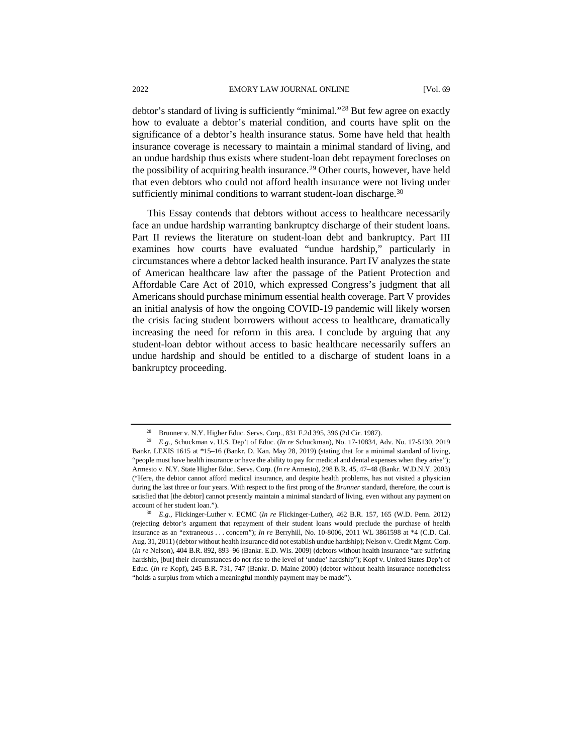debtor's standard of living is sufficiently "minimal."[28](#page-4-0) But few agree on exactly how to evaluate a debtor's material condition, and courts have split on the significance of a debtor's health insurance status. Some have held that health insurance coverage is necessary to maintain a minimal standard of living, and an undue hardship thus exists where student-loan debt repayment forecloses on the possibility of acquiring health insurance.<sup>[29](#page-4-1)</sup> Other courts, however, have held that even debtors who could not afford health insurance were not living under sufficiently minimal conditions to warrant student-loan discharge.<sup>[30](#page-4-2)</sup>

This Essay contends that debtors without access to healthcare necessarily face an undue hardship warranting bankruptcy discharge of their student loans. Part II reviews the literature on student-loan debt and bankruptcy. Part III examines how courts have evaluated "undue hardship," particularly in circumstances where a debtor lacked health insurance. Part IV analyzes the state of American healthcare law after the passage of the Patient Protection and Affordable Care Act of 2010, which expressed Congress's judgment that all Americans should purchase minimum essential health coverage. Part V provides an initial analysis of how the ongoing COVID-19 pandemic will likely worsen the crisis facing student borrowers without access to healthcare, dramatically increasing the need for reform in this area. I conclude by arguing that any student-loan debtor without access to basic healthcare necessarily suffers an undue hardship and should be entitled to a discharge of student loans in a bankruptcy proceeding.

<sup>28</sup> Brunner v. N.Y. Higher Educ. Servs. Corp*.*, 831 F.2d 395, 396 (2d Cir. 1987).

<span id="page-4-1"></span><span id="page-4-0"></span><sup>29</sup> *E.g.*, Schuckman v. U.S. Dep't of Educ. (*In re* Schuckman), No. 17-10834, Adv. No. 17-5130, 2019 Bankr. LEXIS 1615 at \*15–16 (Bankr. D. Kan. May 28, 2019) (stating that for a minimal standard of living, "people must have health insurance or have the ability to pay for medical and dental expenses when they arise"); Armesto v. N.Y. State Higher Educ. Servs. Corp. (*In re* Armesto), 298 B.R. 45, 47–48 (Bankr. W.D.N.Y. 2003) ("Here, the debtor cannot afford medical insurance, and despite health problems, has not visited a physician during the last three or four years. With respect to the first prong of the *Brunner* standard, therefore, the court is satisfied that [the debtor] cannot presently maintain a minimal standard of living, even without any payment on account of her student loan.").

<span id="page-4-2"></span><sup>30</sup> *E.g.*, Flickinger-Luther v. ECMC (*In re* Flickinger-Luther), 462 B.R. 157, 165 (W.D. Penn. 2012) (rejecting debtor's argument that repayment of their student loans would preclude the purchase of health insurance as an "extraneous . . . concern"); *In re* Berryhill, No. 10-8006, 2011 WL 3861598 at \*4 (C.D. Cal. Aug. 31, 2011) (debtor without health insurance did not establish undue hardship); Nelson v. Credit Mgmt. Corp. (*In re* Nelson), 404 B.R. 892, 893–96 (Bankr. E.D. Wis. 2009) (debtors without health insurance "are suffering hardship, [but] their circumstances do not rise to the level of 'undue' hardship"); Kopf v. United States Dep't of Educ. (*In re* Kopf), 245 B.R. 731, 747 (Bankr. D. Maine 2000) (debtor without health insurance nonetheless "holds a surplus from which a meaningful monthly payment may be made").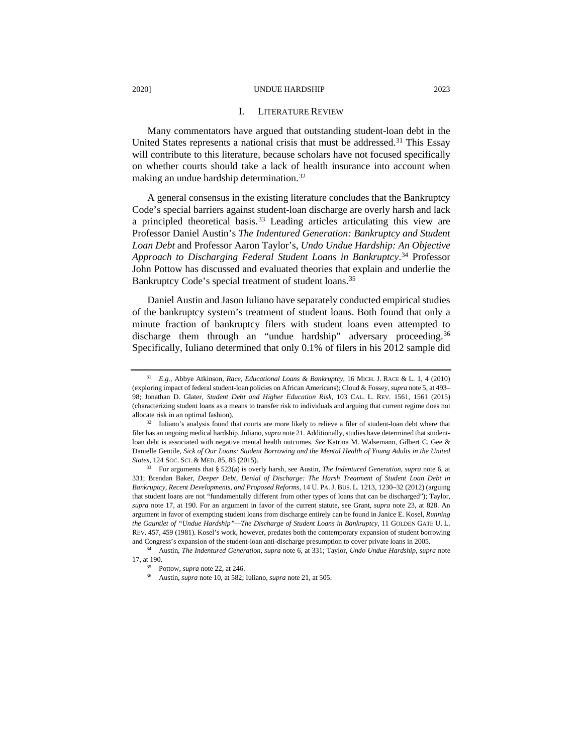#### I. LITERATURE REVIEW

Many commentators have argued that outstanding student-loan debt in the United States represents a national crisis that must be addressed.<sup>[31](#page-5-0)</sup> This Essay will contribute to this literature, because scholars have not focused specifically on whether courts should take a lack of health insurance into account when making an undue hardship determination.[32](#page-5-1)

A general consensus in the existing literature concludes that the Bankruptcy Code's special barriers against student-loan discharge are overly harsh and lack a principled theoretical basis.<sup>[33](#page-5-2)</sup> Leading articles articulating this view are Professor Daniel Austin's *The Indentured Generation: Bankruptcy and Student Loan Debt* and Professor Aaron Taylor's, *Undo Undue Hardship: An Objective Approach to Discharging Federal Student Loans in Bankruptcy*. [34](#page-5-3) Professor John Pottow has discussed and evaluated theories that explain and underlie the Bankruptcy Code's special treatment of student loans.[35](#page-5-4)

Daniel Austin and Jason Iuliano have separately conducted empirical studies of the bankruptcy system's treatment of student loans. Both found that only a minute fraction of bankruptcy filers with student loans even attempted to discharge them through an "undue hardship" adversary proceeding.<sup>[36](#page-5-5)</sup> Specifically, Iuliano determined that only 0.1% of filers in his 2012 sample did

<span id="page-5-5"></span><span id="page-5-4"></span><span id="page-5-3"></span><sup>34</sup> Austin, *The Indentured Generation*, *supra* note 6, at 331; Taylor, *Undo Undue Hardship*, *supra* note 17, at 190.

<span id="page-5-0"></span><sup>31</sup> *E.g.*, Abbye Atkinson, *Race, Educational Loans & Bankruptcy*, 16 MICH. J. RACE & L. 1, 4 (2010) (exploring impact of federal student-loan policies on African Americans); Cloud & Fossey, *supra* note 5, at 493– 98; Jonathan D. Glater, *Student Debt and Higher Education Risk*, 103 CAL. L. REV. 1561, 1561 (2015) (characterizing student loans as a means to transfer risk to individuals and arguing that current regime does not allocate risk in an optimal fashion).<br><sup>32</sup> Iuliano's analysis found that courts are more likely to relieve a filer of student-loan debt where that

<span id="page-5-1"></span>filer has an ongoing medical hardship. Juliano, *supra* note 21. Additionally, studies have determined that studentloan debt is associated with negative mental health outcomes. *See* Katrina M. Walsemann, Gilbert C. Gee & Danielle Gentile, *Sick of Our Loans: Student Borrowing and the Mental Health of Young Adults in the United States*, 124 SOC. SCI. & MED. 85, 85 (2015).

<span id="page-5-2"></span><sup>33</sup> For arguments that § 523(a) is overly harsh, see Austin, *The Indentured Generation*, *supra* note 6, at 331; Brendan Baker, *Deeper Debt, Denial of Discharge: The Harsh Treatment of Student Loan Debt in Bankruptcy, Recent Developments, and Proposed Reforms*, 14 U. PA.J. BUS. L. 1213, 1230–32 (2012) (arguing that student loans are not "fundamentally different from other types of loans that can be discharged"); Taylor, *supra* note 17, at 190. For an argument in favor of the current statute, see Grant, *supra* note 23, at 828. An argument in favor of exempting student loans from discharge entirely can be found in Janice E. Kosel, *Running the Gauntlet of "Undue Hardship"—The Discharge of Student Loans in Bankruptcy*, 11 GOLDEN GATE U. L. REV. 457, 459 (1981). Kosel's work, however, predates both the contemporary expansion of student borrowing and Congress's expansion of the student-loan anti-discharge presumption to cover private loans in 2005.

<sup>35</sup> Pottow, *supra* note 22, at 246.

<sup>36</sup> Austin, *supra* note 10, at 582; Iuliano*, supra* note 21, at 505.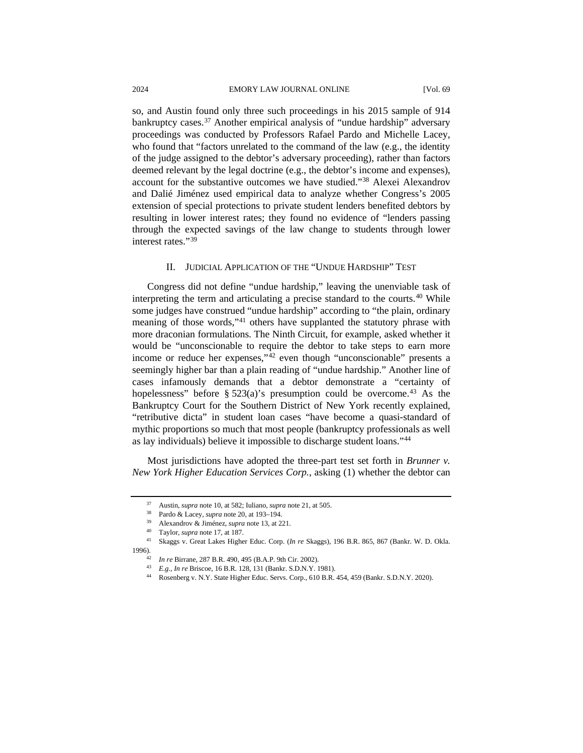so, and Austin found only three such proceedings in his 2015 sample of 914 bankruptcy cases.<sup>[37](#page-6-0)</sup> Another empirical analysis of "undue hardship" adversary proceedings was conducted by Professors Rafael Pardo and Michelle Lacey, who found that "factors unrelated to the command of the law (e.g., the identity of the judge assigned to the debtor's adversary proceeding), rather than factors deemed relevant by the legal doctrine (e.g., the debtor's income and expenses), account for the substantive outcomes we have studied."[38](#page-6-1) Alexei Alexandrov and Dalié Jiménez used empirical data to analyze whether Congress's 2005 extension of special protections to private student lenders benefited debtors by resulting in lower interest rates; they found no evidence of "lenders passing through the expected savings of the law change to students through lower interest rates."[39](#page-6-2)

## II. JUDICIAL APPLICATION OF THE "UNDUE HARDSHIP" TEST

Congress did not define "undue hardship," leaving the unenviable task of interpreting the term and articulating a precise standard to the courts. $40$  While some judges have construed "undue hardship" according to "the plain, ordinary meaning of those words,"<sup>41</sup> others have supplanted the statutory phrase with more draconian formulations. The Ninth Circuit, for example, asked whether it would be "unconscionable to require the debtor to take steps to earn more income or reduce her expenses,"[42](#page-6-5) even though "unconscionable" presents a seemingly higher bar than a plain reading of "undue hardship." Another line of cases infamously demands that a debtor demonstrate a "certainty of hopelessness" before § 523(a)'s presumption could be overcome.<sup>[43](#page-6-6)</sup> As the Bankruptcy Court for the Southern District of New York recently explained, "retributive dicta" in student loan cases "have become a quasi-standard of mythic proportions so much that most people (bankruptcy professionals as well as lay individuals) believe it impossible to discharge student loans."[44](#page-6-7)

Most jurisdictions have adopted the three-part test set forth in *Brunner v. New York Higher Education Services Corp.*, asking (1) whether the debtor can

<sup>37</sup> Austin, *supra* note 10, at 582; Iuliano*, supra* note 21, at 505.

<sup>38</sup> Pardo & Lacey, *supra* note 20, at 193–194.

<sup>39</sup> Alexandrov & Jiménez, *supra* note 13, at 221. 40 Taylor, *supra* note 17, at 187.

<span id="page-6-7"></span><span id="page-6-6"></span><span id="page-6-5"></span><span id="page-6-4"></span><span id="page-6-3"></span><span id="page-6-2"></span><span id="page-6-1"></span><span id="page-6-0"></span><sup>41</sup> Skaggs v. Great Lakes Higher Educ. Corp. (*In re* Skaggs), 196 B.R. 865, 867 (Bankr. W. D. Okla.

<sup>&</sup>lt;sup>42</sup> *In re* Birrane, 287 B.R. 490, 495 (B.A.P. 9th Cir. 2002).

<sup>43</sup> *E.g.*, *In re* Briscoe, 16 B.R. 128, 131 (Bankr. S.D.N.Y. 1981).

<sup>44</sup> Rosenberg v. N.Y. State Higher Educ. Servs. Corp., 610 B.R. 454, 459 (Bankr. S.D.N.Y. 2020).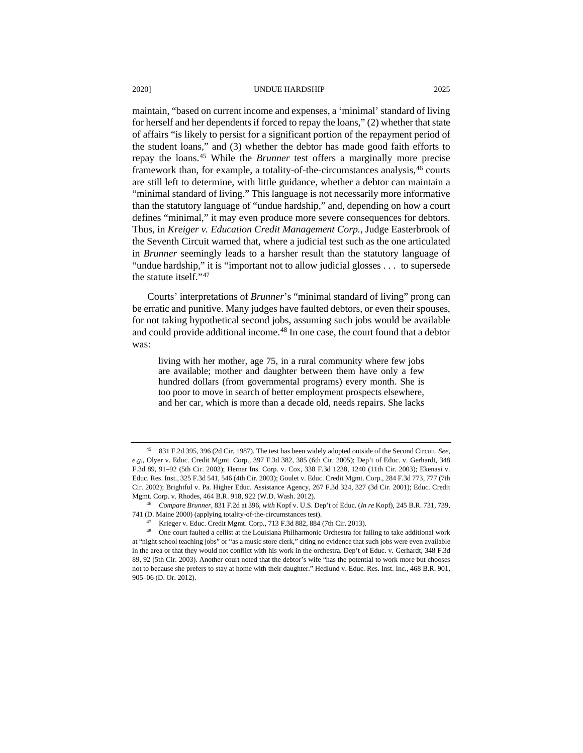maintain, "based on current income and expenses, a 'minimal' standard of living for herself and her dependents if forced to repay the loans," (2) whether that state of affairs "is likely to persist for a significant portion of the repayment period of the student loans," and (3) whether the debtor has made good faith efforts to repay the loans.[45](#page-7-0) While the *Brunner* test offers a marginally more precise framework than, for example, a totality-of-the-circumstances analysis, <sup>[46](#page-7-1)</sup> courts are still left to determine, with little guidance, whether a debtor can maintain a "minimal standard of living." This language is not necessarily more informative than the statutory language of "undue hardship," and, depending on how a court defines "minimal," it may even produce more severe consequences for debtors. Thus, in *Kreiger v. Education Credit Management Corp.*, Judge Easterbrook of the Seventh Circuit warned that, where a judicial test such as the one articulated in *Brunner* seemingly leads to a harsher result than the statutory language of "undue hardship," it is "important not to allow judicial glosses . . . to supersede the statute itself."[47](#page-7-2)

Courts' interpretations of *Brunner*'s "minimal standard of living" prong can be erratic and punitive. Many judges have faulted debtors, or even their spouses, for not taking hypothetical second jobs, assuming such jobs would be available and could provide additional income.<sup>[48](#page-7-3)</sup> In one case, the court found that a debtor was:

living with her mother, age 75, in a rural community where few jobs are available; mother and daughter between them have only a few hundred dollars (from governmental programs) every month. She is too poor to move in search of better employment prospects elsewhere, and her car, which is more than a decade old, needs repairs. She lacks

<span id="page-7-0"></span><sup>45</sup> 831 F.2d 395, 396 (2d Cir. 1987). The test has been widely adopted outside of the Second Circuit. *See*, *e.g.*, Olyer v. Educ. Credit Mgmt. Corp., 397 F.3d 382, 385 (6th Cir. 2005); Dep't of Educ. v. Gerhardt, 348 F.3d 89, 91–92 (5th Cir. 2003); Hernar Ins. Corp. v. Cox*,* 338 F.3d 1238, 1240 (11th Cir. 2003); Ekenasi v. Educ. Res. Inst., 325 F.3d 541, 546 (4th Cir. 2003); Goulet v. Educ. Credit Mgmt. Corp., 284 F.3d 773, 777 (7th Cir. 2002); Brightful v. Pa. Higher Educ. Assistance Agency, 267 F.3d 324, 327 (3d Cir. 2001); Educ. Credit Mgmt. Corp. v. Rhodes, 464 B.R. 918, 922 (W.D. Wash. 2012).

<span id="page-7-1"></span><sup>46</sup> *Compare Brunner*, 831 F.2d at 396, *with* Kopf v. U.S. Dep't of Educ. (*In re* Kopf), 245 B.R. 731, 739, 741 (D. Maine 2000) (applying totality-of-the-circumstances test).

<sup>47</sup> Krieger v. Educ. Credit Mgmt. Corp*.*, 713 F.3d 882, 884 (7th Cir. 2013).

<span id="page-7-3"></span><span id="page-7-2"></span><sup>48</sup> One court faulted a cellist at the Louisiana Philharmonic Orchestra for failing to take additional work at "night school teaching jobs" or "as a music store clerk," citing no evidence that such jobs were even available in the area or that they would not conflict with his work in the orchestra. Dep't of Educ. v. Gerhardt, 348 F.3d 89, 92 (5th Cir. 2003). Another court noted that the debtor's wife "has the potential to work more but chooses not to because she prefers to stay at home with their daughter." Hedlund v. Educ. Res. Inst. Inc., 468 B.R. 901, 905–06 (D. Or. 2012).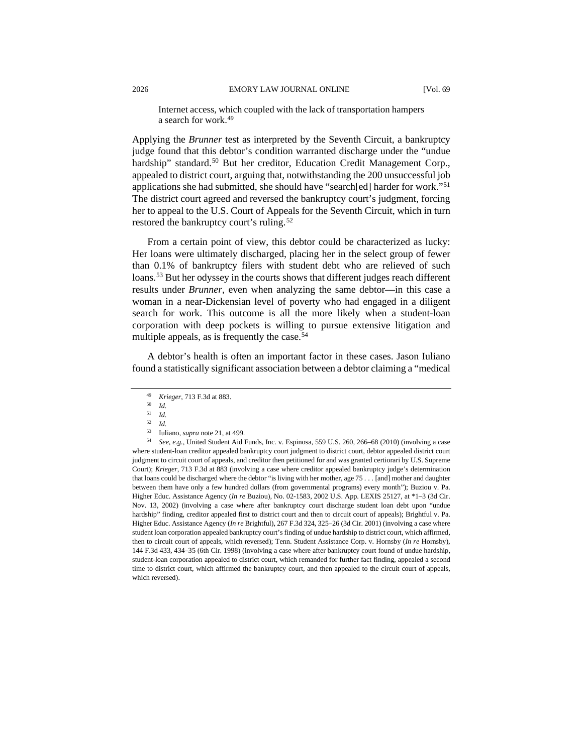Internet access, which coupled with the lack of transportation hampers a search for work.[49](#page-8-0)

Applying the *Brunner* test as interpreted by the Seventh Circuit, a bankruptcy judge found that this debtor's condition warranted discharge under the "undue hardship" standard.<sup>[50](#page-8-1)</sup> But her creditor, Education Credit Management Corp., appealed to district court, arguing that, notwithstanding the 200 unsuccessful job applications she had submitted, she should have "search[ed] harder for work."[51](#page-8-2) The district court agreed and reversed the bankruptcy court's judgment, forcing her to appeal to the U.S. Court of Appeals for the Seventh Circuit, which in turn restored the bankruptcy court's ruling.<sup>[52](#page-8-3)</sup>

From a certain point of view, this debtor could be characterized as lucky: Her loans were ultimately discharged, placing her in the select group of fewer than 0.1% of bankruptcy filers with student debt who are relieved of such loans.<sup>[53](#page-8-4)</sup> But her odyssey in the courts shows that different judges reach different results under *Brunner*, even when analyzing the same debtor—in this case a woman in a near-Dickensian level of poverty who had engaged in a diligent search for work. This outcome is all the more likely when a student-loan corporation with deep pockets is willing to pursue extensive litigation and multiple appeals, as is frequently the case.  $54$ 

<span id="page-8-0"></span>A debtor's health is often an important factor in these cases. Jason Iuliano found a statistically significant association between a debtor claiming a "medical

<sup>49</sup> *Krieger*, 713 F.3d at 883.

<sup>50</sup> *Id.*

<sup>51</sup> *Id.* <sup>52</sup> *Id.*

<sup>53</sup> Iuliano, *supra* note 21, at 499.<br>54 *See e g* Inited Student Aid 1

<span id="page-8-5"></span><span id="page-8-4"></span><span id="page-8-3"></span><span id="page-8-2"></span><span id="page-8-1"></span><sup>54</sup> *See, e.g.*, United Student Aid Funds, Inc. v. Espinosa, 559 U.S. 260, 266–68 (2010) (involving a case where student-loan creditor appealed bankruptcy court judgment to district court, debtor appealed district court judgment to circuit court of appeals, and creditor then petitioned for and was granted certiorari by U.S. Supreme Court); *Krieger*, 713 F.3d at 883 (involving a case where creditor appealed bankruptcy judge's determination that loans could be discharged where the debtor "is living with her mother, age 75 . . . [and] mother and daughter between them have only a few hundred dollars (from governmental programs) every month"); Buziou v. Pa. Higher Educ. Assistance Agency (*In re* Buziou), No. 02-1583, 2002 U.S. App. LEXIS 25127, at \*1–3 (3d Cir. Nov. 13, 2002) (involving a case where after bankruptcy court discharge student loan debt upon "undue hardship" finding, creditor appealed first to district court and then to circuit court of appeals); Brightful v. Pa. Higher Educ. Assistance Agency (*In re* Brightful), 267 F.3d 324, 325–26 (3d Cir. 2001) (involving a case where student loan corporation appealed bankruptcy court's finding of undue hardship to district court, which affirmed, then to circuit court of appeals, which reversed); Tenn. Student Assistance Corp. v. Hornsby (*In re* Hornsby), 144 F.3d 433, 434–35 (6th Cir. 1998) (involving a case where after bankruptcy court found of undue hardship, student-loan corporation appealed to district court, which remanded for further fact finding, appealed a second time to district court, which affirmed the bankruptcy court, and then appealed to the circuit court of appeals, which reversed).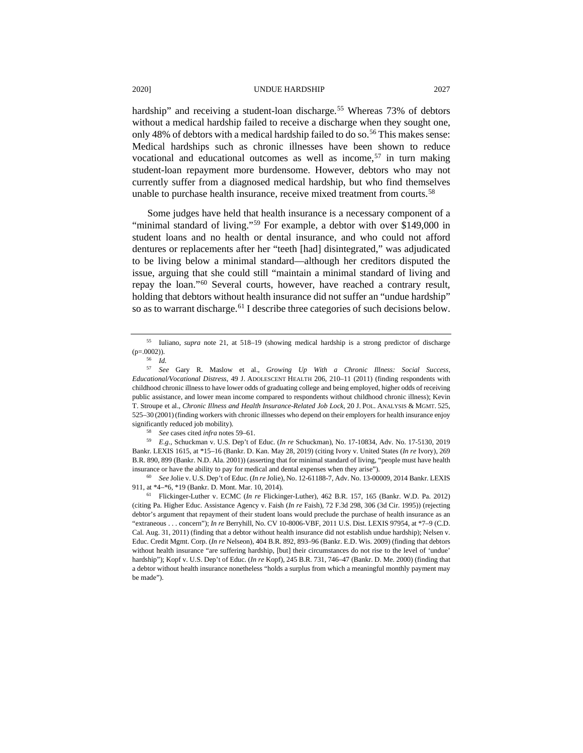hardship" and receiving a student-loan discharge.<sup>[55](#page-9-0)</sup> Whereas 73% of debtors without a medical hardship failed to receive a discharge when they sought one, only 48% of debtors with a medical hardship failed to do so.<sup>[56](#page-9-1)</sup> This makes sense: Medical hardships such as chronic illnesses have been shown to reduce vocational and educational outcomes as well as income,  $57$  in turn making student-loan repayment more burdensome. However, debtors who may not currently suffer from a diagnosed medical hardship, but who find themselves unable to purchase health insurance, receive mixed treatment from courts.<sup>[58](#page-9-3)</sup>

Some judges have held that health insurance is a necessary component of a "minimal standard of living."<sup>[59](#page-9-4)</sup> For example, a debtor with over \$149,000 in student loans and no health or dental insurance, and who could not afford dentures or replacements after her "teeth [had] disintegrated," was adjudicated to be living below a minimal standard—although her creditors disputed the issue, arguing that she could still "maintain a minimal standard of living and repay the loan."[60](#page-9-5) Several courts, however, have reached a contrary result, holding that debtors without health insurance did not suffer an "undue hardship" so as to warrant discharge.<sup>[61](#page-9-6)</sup> I describe three categories of such decisions below.

<span id="page-9-5"></span><sup>60</sup> *See* Jolie v. U.S. Dep't of Educ. (*In re* Jolie), No. 12-61188-7, Adv. No. 13-00009, 2014 Bankr. LEXIS 911, at \*4–\*6, \*19 (Bankr. D. Mont. Mar. 10, 2014).

<span id="page-9-0"></span><sup>55</sup> Iuliano, *supra* note 21, at 518–19 (showing medical hardship is a strong predictor of discharge  $(p=.0002)$ ).

<sup>56</sup> *Id.*

<span id="page-9-2"></span><span id="page-9-1"></span><sup>57</sup> *See* Gary R. Maslow et al., *Growing Up With a Chronic Illness: Social Success, Educational/Vocational Distress*, 49 J. ADOLESCENT HEALTH 206, 210–11 (2011) (finding respondents with childhood chronic illness to have lower odds of graduating college and being employed, higher odds of receiving public assistance, and lower mean income compared to respondents without childhood chronic illness); Kevin T. Stroupe et al., *Chronic Illness and Health Insurance-Related Job Lock*, 20 J. POL. ANALYSIS & MGMT. 525, 525–30 (2001)(finding workers with chronic illnesses who depend on their employers for health insurance enjoy significantly reduced job mobility).

<sup>58</sup> *See* cases cited *infra* notes 59–61.

<span id="page-9-4"></span><span id="page-9-3"></span><sup>59</sup> *E.g.*, Schuckman v. U.S. Dep't of Educ. (*In re* Schuckman), No. 17-10834, Adv. No. 17-5130, 2019 Bankr. LEXIS 1615, at \*15–16 (Bankr. D. Kan. May 28, 2019) (citing Ivory v. United States (*In re* Ivory), 269 B.R. 890, 899 (Bankr. N.D. Ala. 2001)) (asserting that for minimal standard of living, "people must have health insurance or have the ability to pay for medical and dental expenses when they arise").

<span id="page-9-6"></span><sup>61</sup> Flickinger-Luther v. ECMC (*In re* Flickinger-Luther), 462 B.R. 157, 165 (Bankr. W.D. Pa. 2012) (citing Pa. Higher Educ. Assistance Agency v. Faish (*In re* Faish), 72 F.3d 298, 306 (3d Cir. 1995)) (rejecting debtor's argument that repayment of their student loans would preclude the purchase of health insurance as an "extraneous . . . concern"); *In re* Berryhill, No. CV 10-8006-VBF, 2011 U.S. Dist. LEXIS 97954, at \*7–9 (C.D. Cal. Aug. 31, 2011) (finding that a debtor without health insurance did not establish undue hardship); Nelsen v. Educ. Credit Mgmt. Corp. (*In re* Nelseon), 404 B.R. 892, 893–96 (Bankr. E.D. Wis. 2009) (finding that debtors without health insurance "are suffering hardship, [but] their circumstances do not rise to the level of 'undue' hardship"); Kopf v. U.S. Dep't of Educ. (*In re* Kopf), 245 B.R. 731, 746–47 (Bankr. D. Me. 2000) (finding that a debtor without health insurance nonetheless "holds a surplus from which a meaningful monthly payment may be made").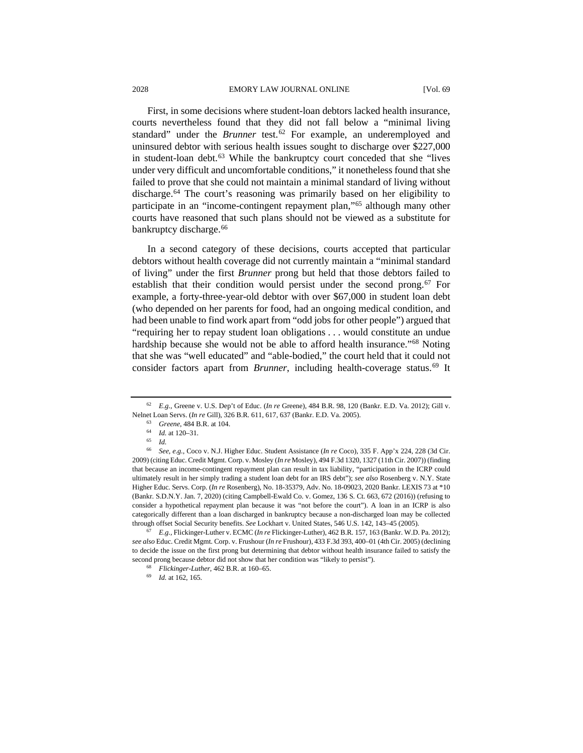First, in some decisions where student-loan debtors lacked health insurance, courts nevertheless found that they did not fall below a "minimal living standard" under the *Brunner* test.<sup>[62](#page-10-0)</sup> For example, an underemployed and uninsured debtor with serious health issues sought to discharge over \$227,000 in student-loan debt.<sup>[63](#page-10-1)</sup> While the bankruptcy court conceded that she "lives" under very difficult and uncomfortable conditions," it nonetheless found that she failed to prove that she could not maintain a minimal standard of living without discharge.[64](#page-10-2) The court's reasoning was primarily based on her eligibility to participate in an "income-contingent repayment plan,"[65](#page-10-3) although many other courts have reasoned that such plans should not be viewed as a substitute for bankruptcy discharge.<sup>[66](#page-10-4)</sup>

In a second category of these decisions, courts accepted that particular debtors without health coverage did not currently maintain a "minimal standard of living" under the first *Brunner* prong but held that those debtors failed to establish that their condition would persist under the second prong.<sup>[67](#page-10-5)</sup> For example, a forty-three-year-old debtor with over \$67,000 in student loan debt (who depended on her parents for food, had an ongoing medical condition, and had been unable to find work apart from "odd jobs for other people") argued that "requiring her to repay student loan obligations . . . would constitute an undue hardship because she would not be able to afford health insurance."<sup>[68](#page-10-6)</sup> Noting that she was "well educated" and "able-bodied," the court held that it could not consider factors apart from *Brunner*, including health-coverage status.<sup>[69](#page-10-7)</sup> It

<span id="page-10-7"></span><span id="page-10-6"></span><span id="page-10-5"></span><sup>67</sup> *E.g.,* Flickinger-Luther v. ECMC (*In re* Flickinger-Luther), 462 B.R. 157, 163 (Bankr. W.D. Pa. 2012); *see also* Educ. Credit Mgmt. Corp. v. Frushour (*In re* Frushour), 433 F.3d 393, 400–01 (4th Cir. 2005) (declining to decide the issue on the first prong but determining that debtor without health insurance failed to satisfy the second prong because debtor did not show that her condition was "likely to persist").

<span id="page-10-1"></span><span id="page-10-0"></span><sup>62</sup> *E.g.*, Greene v. U.S. Dep't of Educ. (*In re* Greene), 484 B.R. 98, 120 (Bankr. E.D. Va. 2012); Gill v. Nelnet Loan Servs. (*In re* Gill), 326 B.R. 611, 617, 637 (Bankr. E.D. Va. 2005).

<sup>63</sup> *Greene*, 484 B.R. at 104.

<sup>64</sup> *Id.* at 120–31.

<sup>65</sup> *Id.*

<span id="page-10-4"></span><span id="page-10-3"></span><span id="page-10-2"></span><sup>66</sup> *See, e.g.*, Coco v. N.J. Higher Educ. Student Assistance (*In re* Coco), 335 F. App'x 224, 228 (3d Cir. 2009) (citing Educ. Credit Mgmt. Corp. v. Mosley (*In re* Mosley), 494 F.3d 1320, 1327 (11th Cir. 2007)) (finding that because an income-contingent repayment plan can result in tax liability, "participation in the ICRP could ultimately result in her simply trading a student loan debt for an IRS debt"); *see also* Rosenberg v. N.Y. State Higher Educ. Servs. Corp. (*In re* Rosenberg), No. 18-35379, Adv. No. 18-09023, 2020 Bankr. LEXIS 73 at \*10 (Bankr. S.D.N.Y. Jan. 7, 2020) (citing Campbell-Ewald Co. v. Gomez, 136 S. Ct. 663, 672 (2016)) (refusing to consider a hypothetical repayment plan because it was "not before the court"). A loan in an ICRP is also categorically different than a loan discharged in bankruptcy because a non-discharged loan may be collected through offset Social Security benefits. *See* Lockhart v. United States, 546 U.S. 142, 143–45 (2005).

<sup>68</sup> *Flickinger-Luther*, 462 B.R. at 160–65.

<sup>69</sup> *Id.* at 162, 165.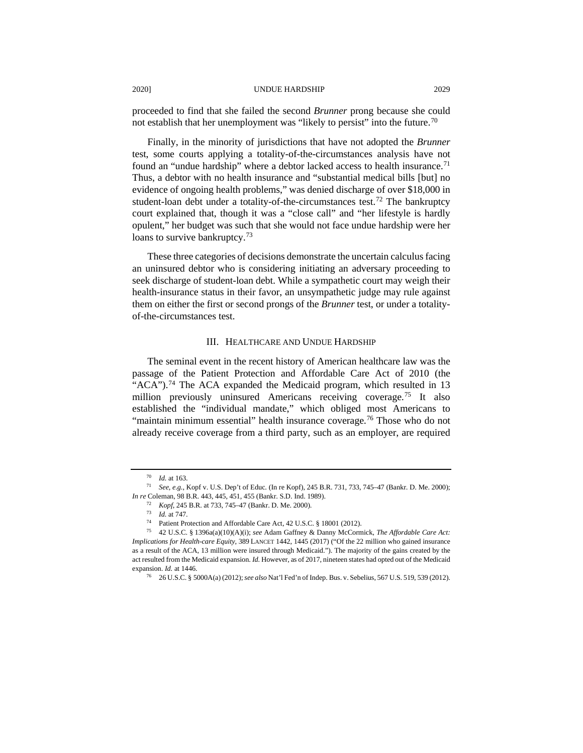proceeded to find that she failed the second *Brunner* prong because she could not establish that her unemployment was "likely to persist" into the future.<sup>[70](#page-11-0)</sup>

Finally, in the minority of jurisdictions that have not adopted the *Brunner*  test, some courts applying a totality-of-the-circumstances analysis have not found an "undue hardship" where a debtor lacked access to health insurance.<sup>[71](#page-11-1)</sup> Thus, a debtor with no health insurance and "substantial medical bills [but] no evidence of ongoing health problems," was denied discharge of over \$18,000 in student-loan debt under a totality-of-the-circumstances test.<sup>[72](#page-11-2)</sup> The bankruptcy court explained that, though it was a "close call" and "her lifestyle is hardly opulent," her budget was such that she would not face undue hardship were her loans to survive bankruptcy.<sup>73</sup>

These three categories of decisions demonstrate the uncertain calculus facing an uninsured debtor who is considering initiating an adversary proceeding to seek discharge of student-loan debt. While a sympathetic court may weigh their health-insurance status in their favor, an unsympathetic judge may rule against them on either the first or second prongs of the *Brunner* test, or under a totalityof-the-circumstances test.

#### III. HEALTHCARE AND UNDUE HARDSHIP

The seminal event in the recent history of American healthcare law was the passage of the Patient Protection and Affordable Care Act of 2010 (the "ACA").<sup>[74](#page-11-4)</sup> The ACA expanded the Medicaid program, which resulted in 13 million previously uninsured Americans receiving coverage.<sup>[75](#page-11-5)</sup> It also established the "individual mandate," which obliged most Americans to "maintain minimum essential" health insurance coverage.<sup>[76](#page-11-6)</sup> Those who do not already receive coverage from a third party, such as an employer, are required

<sup>70</sup> *Id.* at 163.

<span id="page-11-2"></span><span id="page-11-1"></span><span id="page-11-0"></span><sup>71</sup> *See, e.g.*, Kopf v. U.S. Dep't of Educ. (In re Kopf), 245 B.R. 731, 733, 745–47 (Bankr. D. Me. 2000); *In re* Coleman, 98 B.R. 443, 445, 451, 455 (Bankr. S.D. Ind. 1989).

<sup>72</sup> *Kopf*, 245 B.R. at 733, 745–47 (Bankr. D. Me. 2000).

<sup>73</sup> *Id.* at 747.

<sup>74</sup> Patient Protection and Affordable Care Act, 42 U.S.C. § 18001 (2012).

<span id="page-11-6"></span><span id="page-11-5"></span><span id="page-11-4"></span><span id="page-11-3"></span><sup>75</sup> 42 U.S.C. § 1396a(a)(10)(A)(i); *see* Adam Gaffney & Danny McCormick, *The Affordable Care Act: Implications for Health-care Equity*, 389 LANCET 1442, 1445 (2017) ("Of the 22 million who gained insurance as a result of the ACA, 13 million were insured through Medicaid."). The majority of the gains created by the act resulted from the Medicaid expansion. *Id.* However, as of 2017, nineteen states had opted out of the Medicaid expansion. *Id.* at 1446.

<sup>76</sup> 26 U.S.C. § 5000A(a) (2012); *see also* Nat'l Fed'n of Indep. Bus. v. Sebelius, 567 U.S. 519, 539 (2012).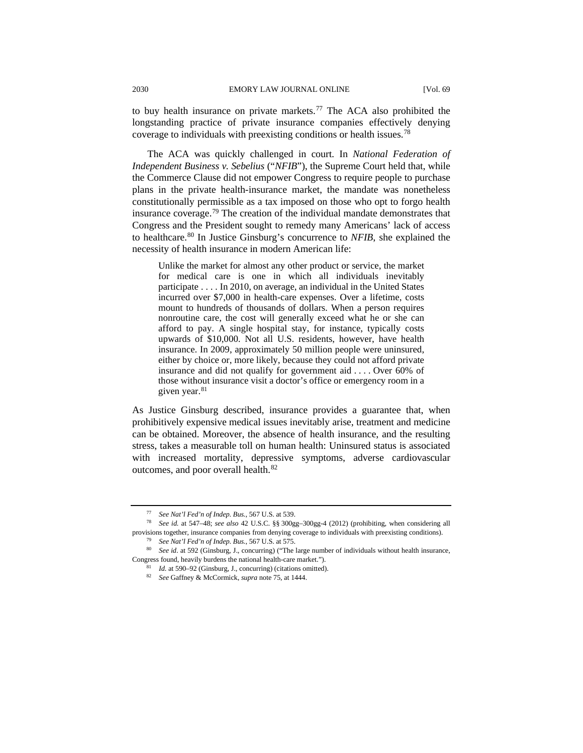to buy health insurance on private markets.<sup>[77](#page-12-0)</sup> The ACA also prohibited the longstanding practice of private insurance companies effectively denying coverage to individuals with preexisting conditions or health issues.[78](#page-12-1)

The ACA was quickly challenged in court. In *National Federation of Independent Business v. Sebelius* ("*NFIB*"), the Supreme Court held that, while the Commerce Clause did not empower Congress to require people to purchase plans in the private health-insurance market, the mandate was nonetheless constitutionally permissible as a tax imposed on those who opt to forgo health insurance coverage.[79](#page-12-2) The creation of the individual mandate demonstrates that Congress and the President sought to remedy many Americans' lack of access to healthcare.[80](#page-12-3) In Justice Ginsburg's concurrence to *NFIB*, she explained the necessity of health insurance in modern American life:

Unlike the market for almost any other product or service, the market for medical care is one in which all individuals inevitably participate . . . . In 2010, on average, an individual in the United States incurred over \$7,000 in health-care expenses. Over a lifetime, costs mount to hundreds of thousands of dollars. When a person requires nonroutine care, the cost will generally exceed what he or she can afford to pay. A single hospital stay, for instance, typically costs upwards of \$10,000. Not all U.S. residents, however, have health insurance. In 2009, approximately 50 million people were uninsured, either by choice or, more likely, because they could not afford private insurance and did not qualify for government aid . . . . Over 60% of those without insurance visit a doctor's office or emergency room in a given year.<sup>[81](#page-12-4)</sup>

As Justice Ginsburg described, insurance provides a guarantee that, when prohibitively expensive medical issues inevitably arise, treatment and medicine can be obtained. Moreover, the absence of health insurance, and the resulting stress, takes a measurable toll on human health: Uninsured status is associated with increased mortality, depressive symptoms, adverse cardiovascular outcomes, and poor overall health.<sup>[82](#page-12-5)</sup>

<sup>77</sup> *See Nat'l Fed'n of Indep. Bus.*, 567 U.S. at 539.

<span id="page-12-1"></span><span id="page-12-0"></span><sup>78</sup> *See id.* at 547–48; *see also* 42 U.S.C. §§ 300gg–300gg-4 (2012) (prohibiting, when considering all provisions together, insurance companies from denying coverage to individuals with preexisting conditions).

<sup>79</sup> *See Nat'l Fed'n of Indep. Bus.*, 567 U.S. at 575.

<span id="page-12-5"></span><span id="page-12-4"></span><span id="page-12-3"></span><span id="page-12-2"></span><sup>80</sup> *See id*. at 592 (Ginsburg, J., concurring) ("The large number of individuals without health insurance, Congress found, heavily burdens the national health-care market.").

<sup>81</sup> *Id.* at 590–92 (Ginsburg, J., concurring) (citations omitted).

<sup>82</sup> *See* Gaffney & McCormick, *supra* note 75, at 1444.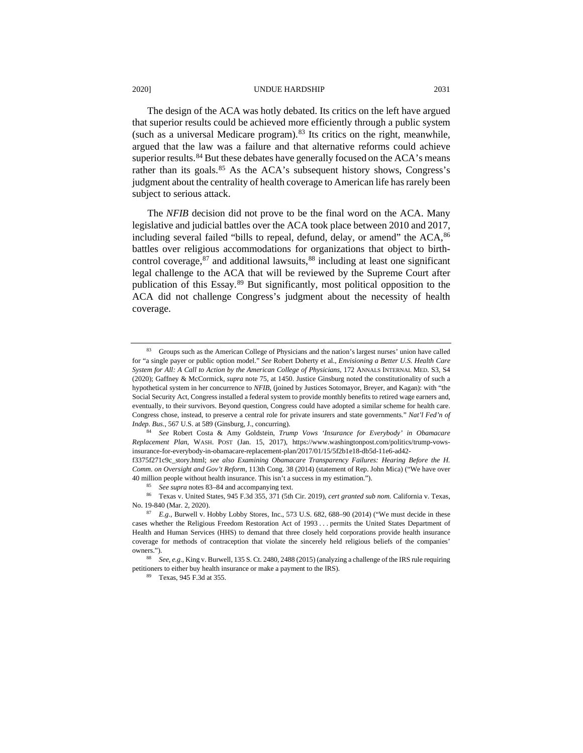The design of the ACA was hotly debated. Its critics on the left have argued that superior results could be achieved more efficiently through a public system (such as a universal Medicare program).  $83$  Its critics on the right, meanwhile, argued that the law was a failure and that alternative reforms could achieve superior results.<sup>[84](#page-13-1)</sup> But these debates have generally focused on the  $ACA$ 's means rather than its goals.<sup>[85](#page-13-2)</sup> As the ACA's subsequent history shows, Congress's judgment about the centrality of health coverage to American life has rarely been subject to serious attack.

The *NFIB* decision did not prove to be the final word on the ACA. Many legislative and judicial battles over the ACA took place between 2010 and 2017, including several failed "bills to repeal, defund, delay, or amend" the  $ACA$ ,  $86$ battles over religious accommodations for organizations that object to birth-control coverage, <sup>[87](#page-13-4)</sup> and additional lawsuits, <sup>[88](#page-13-5)</sup> including at least one significant legal challenge to the ACA that will be reviewed by the Supreme Court after publication of this Essay.[89](#page-13-6) But significantly, most political opposition to the ACA did not challenge Congress's judgment about the necessity of health coverage.

<span id="page-13-0"></span><sup>83</sup> Groups such as the American College of Physicians and the nation's largest nurses' union have called for "a single payer or public option model." *See* Robert Doherty et al., *Envisioning a Better U.S. Health Care System for All: A Call to Action by the American College of Physicians*, 172 ANNALS INTERNAL MED. S3, S4 (2020); Gaffney & McCormick, *supra* note 75, at 1450. Justice Ginsburg noted the constitutionality of such a hypothetical system in her concurrence to *NFIB*, (joined by Justices Sotomayor, Breyer, and Kagan): with "the Social Security Act, Congress installed a federal system to provide monthly benefits to retired wage earners and, eventually, to their survivors. Beyond question, Congress could have adopted a similar scheme for health care. Congress chose, instead, to preserve a central role for private insurers and state governments." *Nat'l Fed'n of Indep. Bus.*, 567 U.S. at 589 (Ginsburg, J., concurring).

<span id="page-13-1"></span><sup>84</sup> *See* Robert Costa & Amy Goldstein, *Trump Vows 'Insurance for Everybody' in Obamacare Replacement Plan*, WASH. POST (Jan. 15, 2017), https://www.washingtonpost.com/politics/trump-vowsinsurance-for-everybody-in-obamacare-replacement-plan/2017/01/15/5f2b1e18-db5d-11e6-ad42-

f3375f271c9c\_story.html; *see also Examining Obamacare Transparency Failures: Hearing Before the H. Comm. on Oversight and Gov't Reform*, 113th Cong. 38 (2014) (statement of Rep. John Mica) ("We have over 40 million people without health insurance. This isn't a success in my estimation.").

See supra notes 83-84 and accompanying text.

<span id="page-13-3"></span><span id="page-13-2"></span><sup>86</sup> Texas v. United States, 945 F.3d 355, 371 (5th Cir. 2019), *cert granted sub nom.* California v. Texas, No. 19-840 (Mar. 2, 2020).

<span id="page-13-4"></span><sup>&</sup>lt;sup>87</sup> *E.g.*, Burwell v. Hobby Lobby Stores, Inc., 573 U.S. 682, 688–90 (2014) ("We must decide in these cases whether the Religious Freedom Restoration Act of 1993 . . . permits the United States Department of Health and Human Services (HHS) to demand that three closely held corporations provide health insurance coverage for methods of contraception that violate the sincerely held religious beliefs of the companies' owners.").

<span id="page-13-6"></span><span id="page-13-5"></span><sup>88</sup> *See, e.g.*, King v. Burwell, 135 S. Ct. 2480, 2488 (2015) (analyzing a challenge of the IRS rule requiring petitioners to either buy health insurance or make a payment to the IRS).

<sup>89</sup> Texas, 945 F.3d at 355.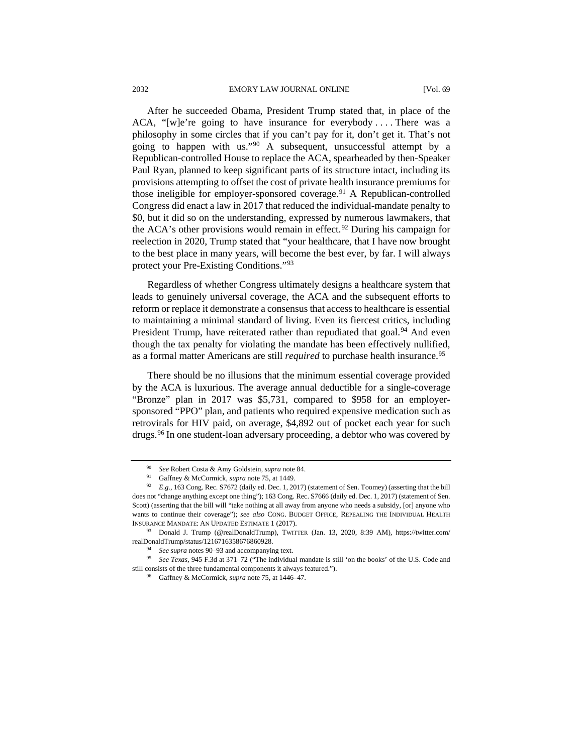After he succeeded Obama, President Trump stated that, in place of the ACA, "[w]e're going to have insurance for everybody .... There was a philosophy in some circles that if you can't pay for it, don't get it. That's not going to happen with us."[90](#page-14-0) A subsequent, unsuccessful attempt by a Republican-controlled House to replace the ACA, spearheaded by then-Speaker Paul Ryan, planned to keep significant parts of its structure intact, including its provisions attempting to offset the cost of private health insurance premiums for those ineligible for employer-sponsored coverage. $91$  A Republican-controlled Congress did enact a law in 2017 that reduced the individual-mandate penalty to \$0, but it did so on the understanding, expressed by numerous lawmakers, that the ACA's other provisions would remain in effect.<sup>[92](#page-14-2)</sup> During his campaign for reelection in 2020, Trump stated that "your healthcare, that I have now brought to the best place in many years, will become the best ever, by far. I will always protect your Pre-Existing Conditions."[93](#page-14-3)

Regardless of whether Congress ultimately designs a healthcare system that leads to genuinely universal coverage, the ACA and the subsequent efforts to reform or replace it demonstrate a consensus that access to healthcare is essential to maintaining a minimal standard of living. Even its fiercest critics, including President Trump, have reiterated rather than repudiated that goal.<sup>[94](#page-14-4)</sup> And even though the tax penalty for violating the mandate has been effectively nullified, as a formal matter Americans are still *required* to purchase health insurance.[95](#page-14-5)

There should be no illusions that the minimum essential coverage provided by the ACA is luxurious. The average annual deductible for a single-coverage "Bronze" plan in 2017 was \$5,731, compared to \$958 for an employersponsored "PPO" plan, and patients who required expensive medication such as retrovirals for HIV paid, on average, \$4,892 out of pocket each year for such drugs.<sup>96</sup> In one student-loan adversary proceeding, a debtor who was covered by

<sup>90</sup> *See* Robert Costa & Amy Goldstein, *supra* note 84.

<sup>91</sup> Gaffney & McCormick, *supra* note 75, at 1449.

<span id="page-14-2"></span><span id="page-14-1"></span><span id="page-14-0"></span><sup>92</sup> *E.g.*, 163 Cong. Rec. S7672 (daily ed. Dec. 1, 2017) (statement of Sen. Toomey) (asserting that the bill does not "change anything except one thing"); 163 Cong. Rec. S7666 (daily ed. Dec. 1, 2017) (statement of Sen. Scott) (asserting that the bill will "take nothing at all away from anyone who needs a subsidy, [or] anyone who wants to continue their coverage"); *see also* CONG. BUDGET OFFICE, REPEALING THE INDIVIDUAL HEALTH INSURANCE MANDATE: AN UPDATED ESTIMATE 1 (2017).

<span id="page-14-4"></span><span id="page-14-3"></span><sup>93</sup> Donald J. Trump (@realDonaldTrump), TWITTER (Jan. 13, 2020, 8:39 AM), https://twitter.com/ realDonaldTrump/status/1216716358676860928.

<sup>94</sup> *See supra* notes 90–93 and accompanying text.

<span id="page-14-6"></span><span id="page-14-5"></span><sup>95</sup> *See Texas*, 945 F.3d at 371–72 ("The individual mandate is still 'on the books' of the U.S. Code and still consists of the three fundamental components it always featured.").

<sup>96</sup> Gaffney & McCormick, *supra* note 75, at 1446–47.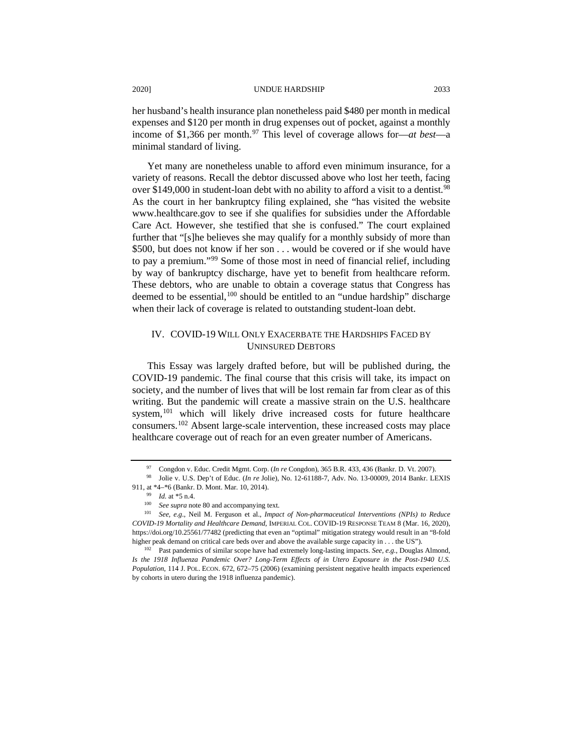her husband's health insurance plan nonetheless paid \$480 per month in medical expenses and \$120 per month in drug expenses out of pocket, against a monthly income of \$1,366 per month.<sup>[97](#page-15-0)</sup> This level of coverage allows for—*at best*—a minimal standard of living.

Yet many are nonetheless unable to afford even minimum insurance, for a variety of reasons. Recall the debtor discussed above who lost her teeth, facing over \$149,000 in student-loan debt with no ability to afford a visit to a dentist.<sup>[98](#page-15-1)</sup> As the court in her bankruptcy filing explained, she "has visited the website www.healthcare.gov to see if she qualifies for subsidies under the Affordable Care Act. However, she testified that she is confused." The court explained further that "[s]he believes she may qualify for a monthly subsidy of more than \$500, but does not know if her son . . . would be covered or if she would have to pay a premium."[99](#page-15-2) Some of those most in need of financial relief, including by way of bankruptcy discharge, have yet to benefit from healthcare reform. These debtors, who are unable to obtain a coverage status that Congress has deemed to be essential,<sup>[100](#page-15-3)</sup> should be entitled to an "undue hardship" discharge when their lack of coverage is related to outstanding student-loan debt.

## IV. COVID-19 WILL ONLY EXACERBATE THE HARDSHIPS FACED BY UNINSURED DEBTORS

This Essay was largely drafted before, but will be published during, the COVID-19 pandemic. The final course that this crisis will take, its impact on society, and the number of lives that will be lost remain far from clear as of this writing. But the pandemic will create a massive strain on the U.S. healthcare system,<sup>[101](#page-15-4)</sup> which will likely drive increased costs for future healthcare consumers.[102](#page-15-5) Absent large-scale intervention, these increased costs may place healthcare coverage out of reach for an even greater number of Americans.

<sup>97</sup> Congdon v. Educ. Credit Mgmt. Corp. (*In re* Congdon), 365 B.R. 433, 436 (Bankr. D. Vt. 2007).

<span id="page-15-2"></span><span id="page-15-1"></span><span id="page-15-0"></span><sup>98</sup> Jolie v. U.S. Dep't of Educ. (*In re* Jolie), No. 12-61188-7, Adv. No. 13-00009, 2014 Bankr. LEXIS 911, at \*4–\*6 (Bankr. D. Mont. Mar. 10, 2014).

<sup>99</sup> *Id.* at \*5 n.4.

<sup>100</sup> *See supra* note 80 and accompanying text.

<span id="page-15-4"></span><span id="page-15-3"></span><sup>101</sup> *See, e.g.*, Neil M. Ferguson et al., *Impact of Non-pharmaceutical Interventions (NPIs) to Reduce COVID-19 Mortality and Healthcare Demand*, IMPERIAL COL. COVID-19 RESPONSE TEAM 8 (Mar. 16, 2020), https://doi.org/10.25561/77482 (predicting that even an "optimal" mitigation strategy would result in an "8-fold higher peak demand on critical care beds over and above the available surge capacity in . . . the US").

<span id="page-15-5"></span><sup>102</sup> Past pandemics of similar scope have had extremely long-lasting impacts. *See, e.g.*, Douglas Almond, *Is the 1918 Influenza Pandemic Over? Long-Term Effects of in Utero Exposure in the Post-1940 U.S. Population*, 114 J. POL. ECON. 672, 672–75 (2006) (examining persistent negative health impacts experienced by cohorts in utero during the 1918 influenza pandemic).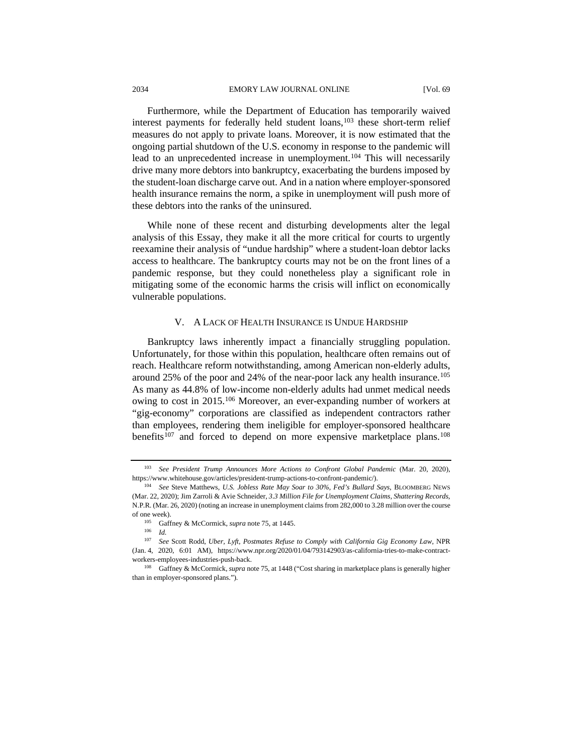Furthermore, while the Department of Education has temporarily waived interest payments for federally held student loans,<sup>[103](#page-16-0)</sup> these short-term relief measures do not apply to private loans. Moreover, it is now estimated that the ongoing partial shutdown of the U.S. economy in response to the pandemic will lead to an unprecedented increase in unemployment.<sup>[104](#page-16-1)</sup> This will necessarily drive many more debtors into bankruptcy, exacerbating the burdens imposed by the student-loan discharge carve out. And in a nation where employer-sponsored health insurance remains the norm, a spike in unemployment will push more of these debtors into the ranks of the uninsured.

While none of these recent and disturbing developments alter the legal analysis of this Essay, they make it all the more critical for courts to urgently reexamine their analysis of "undue hardship" where a student-loan debtor lacks access to healthcare. The bankruptcy courts may not be on the front lines of a pandemic response, but they could nonetheless play a significant role in mitigating some of the economic harms the crisis will inflict on economically vulnerable populations.

### V. A LACK OF HEALTH INSURANCE IS UNDUE HARDSHIP

Bankruptcy laws inherently impact a financially struggling population. Unfortunately, for those within this population, healthcare often remains out of reach. Healthcare reform notwithstanding, among American non-elderly adults, around 25% of the poor and 24% of the near-poor lack any health insurance.<sup>105</sup> As many as 44.8% of low-income non-elderly adults had unmet medical needs owing to cost in 2015.<sup>[106](#page-16-3)</sup> Moreover, an ever-expanding number of workers at "gig-economy" corporations are classified as independent contractors rather than employees, rendering them ineligible for employer-sponsored healthcare benefits<sup>[107](#page-16-4)</sup> and forced to depend on more expensive marketplace plans.<sup>108</sup>

<span id="page-16-0"></span><sup>103</sup> *See President Trump Announces More Actions to Confront Global Pandemic* (Mar. 20, 2020), https://www.whitehouse.gov/articles/president-trump-actions-to-confront-pandemic/).

<span id="page-16-1"></span><sup>104</sup> *See* Steve Matthews, *U.S. Jobless Rate May Soar to 30%, Fed's Bullard Says*, BLOOMBERG NEWS (Mar. 22, 2020); Jim Zarroli & Avie Schneider, *3.3 Million File for Unemployment Claims, Shattering Records,*  N.P.R. (Mar. 26, 2020) (noting an increase in unemployment claims from 282,000 to 3.28 million over the course of one week).<br> $\frac{105}{\text{Cef}}$ 

Gaffney & McCormick, *supra* note 75, at 1445.

<sup>106</sup> *Id.*

<span id="page-16-4"></span><span id="page-16-3"></span><span id="page-16-2"></span><sup>107</sup> *See* Scott Rodd, *Uber, Lyft, Postmates Refuse to Comply with California Gig Economy Law*, NPR (Jan. 4, 2020, 6:01 AM), https://www.npr.org/2020/01/04/793142903/as-california-tries-to-make-contractworkers-employees-industries-push-back.

<span id="page-16-5"></span><sup>108</sup> Gaffney & McCormick, *supra* note 75, at 1448 ("Cost sharing in marketplace plans is generally higher than in employer-sponsored plans.").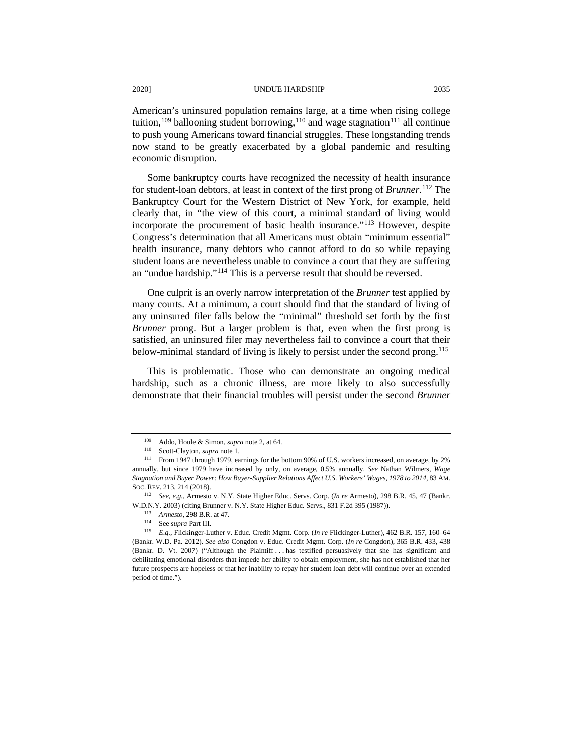American's uninsured population remains large, at a time when rising college tuition,<sup>[109](#page-17-0)</sup> ballooning student borrowing,<sup>110</sup> and wage stagnation<sup>[111](#page-17-2)</sup> all continue to push young Americans toward financial struggles. These longstanding trends now stand to be greatly exacerbated by a global pandemic and resulting economic disruption.

Some bankruptcy courts have recognized the necessity of health insurance for student-loan debtors, at least in context of the first prong of *Brunner*. [112](#page-17-3) The Bankruptcy Court for the Western District of New York, for example, held clearly that, in "the view of this court, a minimal standard of living would incorporate the procurement of basic health insurance."[113](#page-17-4) However, despite Congress's determination that all Americans must obtain "minimum essential" health insurance, many debtors who cannot afford to do so while repaying student loans are nevertheless unable to convince a court that they are suffering an "undue hardship.["114](#page-17-5) This is a perverse result that should be reversed.

One culprit is an overly narrow interpretation of the *Brunner* test applied by many courts. At a minimum, a court should find that the standard of living of any uninsured filer falls below the "minimal" threshold set forth by the first *Brunner* prong. But a larger problem is that, even when the first prong is satisfied, an uninsured filer may nevertheless fail to convince a court that their below-minimal standard of living is likely to persist under the second prong.[115](#page-17-6)

This is problematic. Those who can demonstrate an ongoing medical hardship, such as a chronic illness, are more likely to also successfully demonstrate that their financial troubles will persist under the second *Brunner*

<sup>109</sup> Addo, Houle & Simon, *supra* note 2, at 64.

<sup>110</sup> Scott-Clayton, *supra* note 1.

<span id="page-17-2"></span><span id="page-17-1"></span><span id="page-17-0"></span>From 1947 through 1979, earnings for the bottom 90% of U.S. workers increased, on average, by 2% annually, but since 1979 have increased by only, on average, 0.5% annually. *See* Nathan Wilmers, *Wage Stagnation and Buyer Power: How Buyer-Supplier Relations Affect U.S. Workers' Wages, 1978 to 2014*, 83 AM. SOC. REV. 213, 214 (2018).

<span id="page-17-3"></span><sup>112</sup> *See, e.g.*, Armesto v. N.Y. State Higher Educ. Servs. Corp. (*In re* Armesto), 298 B.R. 45, 47 (Bankr. W.D.N.Y. 2003) (citing Brunner v. N.Y. State Higher Educ. Servs., 831 F.2d 395 (1987)).

<sup>113</sup> *Armesto*, 298 B.R. at 47. 114 See *supra* Part III.

<span id="page-17-6"></span><span id="page-17-5"></span><span id="page-17-4"></span><sup>115</sup> *E.g.*, Flickinger-Luther v. Educ. Credit Mgmt. Corp. (*In re* Flickinger-Luther), 462 B.R. 157, 160–64 (Bankr. W.D. Pa. 2012). *See also* Congdon v. Educ. Credit Mgmt. Corp. (*In re* Congdon), 365 B.R. 433, 438 (Bankr. D. Vt. 2007) ("Although the Plaintiff . . . has testified persuasively that she has significant and debilitating emotional disorders that impede her ability to obtain employment, she has not established that her future prospects are hopeless or that her inability to repay her student loan debt will continue over an extended period of time.").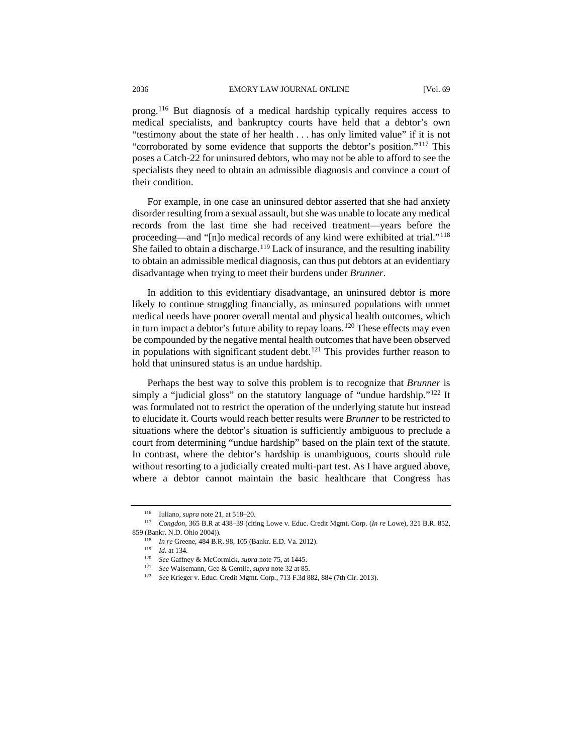prong.[116](#page-18-0) But diagnosis of a medical hardship typically requires access to medical specialists, and bankruptcy courts have held that a debtor's own "testimony about the state of her health . . . has only limited value" if it is not "corroborated by some evidence that supports the debtor's position."[117](#page-18-1) This poses a Catch-22 for uninsured debtors, who may not be able to afford to see the specialists they need to obtain an admissible diagnosis and convince a court of their condition.

For example, in one case an uninsured debtor asserted that she had anxiety disorder resulting from a sexual assault, but she was unable to locate any medical records from the last time she had received treatment—years before the proceeding—and "[n]o medical records of any kind were exhibited at trial."[118](#page-18-2) She failed to obtain a discharge.<sup>[119](#page-18-3)</sup> Lack of insurance, and the resulting inability to obtain an admissible medical diagnosis, can thus put debtors at an evidentiary disadvantage when trying to meet their burdens under *Brunner*.

In addition to this evidentiary disadvantage, an uninsured debtor is more likely to continue struggling financially, as uninsured populations with unmet medical needs have poorer overall mental and physical health outcomes, which in turn impact a debtor's future ability to repay loans.<sup>[120](#page-18-4)</sup> These effects may even be compounded by the negative mental health outcomes that have been observed in populations with significant student debt.<sup>[121](#page-18-5)</sup> This provides further reason to hold that uninsured status is an undue hardship.

Perhaps the best way to solve this problem is to recognize that *Brunner* is simply a "judicial gloss" on the statutory language of "undue hardship."<sup>122</sup> It was formulated not to restrict the operation of the underlying statute but instead to elucidate it. Courts would reach better results were *Brunner* to be restricted to situations where the debtor's situation is sufficiently ambiguous to preclude a court from determining "undue hardship" based on the plain text of the statute. In contrast, where the debtor's hardship is unambiguous, courts should rule without resorting to a judicially created multi-part test. As I have argued above, where a debtor cannot maintain the basic healthcare that Congress has

<sup>116</sup> Iuliano, *supra* note 21, at 518–20.

<span id="page-18-6"></span><span id="page-18-5"></span><span id="page-18-4"></span><span id="page-18-3"></span><span id="page-18-2"></span><span id="page-18-1"></span><span id="page-18-0"></span><sup>117</sup> *Congdon*, 365 B.R at 438–39 (citing Lowe v. Educ. Credit Mgmt. Corp. (*In re* Lowe), 321 B.R. 852, 859 (Bankr. N.D. Ohio 2004)).

<sup>118</sup> *In re* Greene, 484 B.R. 98, 105 (Bankr. E.D. Va. 2012).

<sup>119</sup> *Id*. at 134.

<sup>120</sup> *See* Gaffney & McCormick, *supra* note 75, at 1445. 121 *See* Walsemann, Gee & Gentile, *supra* note 32 at 85.

<sup>122</sup> *See* Krieger v. Educ. Credit Mgmt. Corp*.*, 713 F.3d 882, 884 (7th Cir. 2013).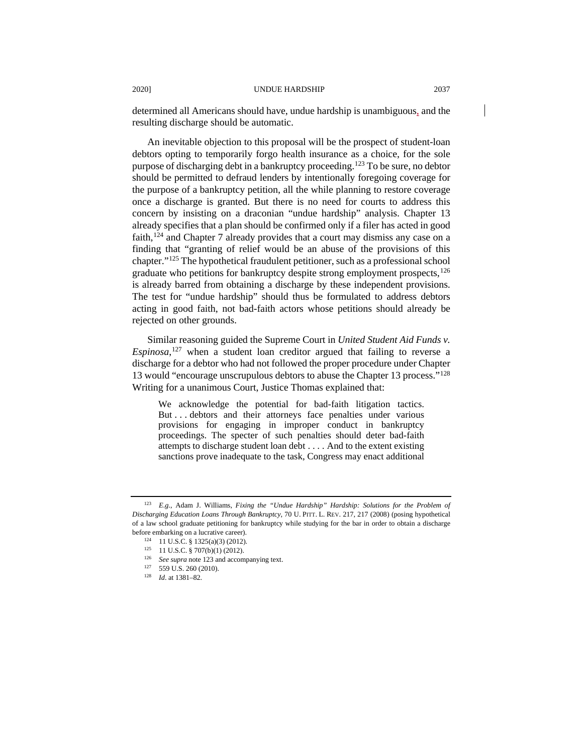determined all Americans should have, undue hardship is unambiguous, and the resulting discharge should be automatic.

An inevitable objection to this proposal will be the prospect of student-loan debtors opting to temporarily forgo health insurance as a choice, for the sole purpose of discharging debt in a bankruptcy proceeding.<sup>[123](#page-19-0)</sup> To be sure, no debtor should be permitted to defraud lenders by intentionally foregoing coverage for the purpose of a bankruptcy petition, all the while planning to restore coverage once a discharge is granted. But there is no need for courts to address this concern by insisting on a draconian "undue hardship" analysis. Chapter 13 already specifies that a plan should be confirmed only if a filer has acted in good faith,  $124$  and Chapter 7 already provides that a court may dismiss any case on a finding that "granting of relief would be an abuse of the provisions of this chapter."[125](#page-19-2) The hypothetical fraudulent petitioner, such as a professional school graduate who petitions for bankruptcy despite strong employment prospects, <sup>[126](#page-19-3)</sup> is already barred from obtaining a discharge by these independent provisions. The test for "undue hardship" should thus be formulated to address debtors acting in good faith, not bad-faith actors whose petitions should already be rejected on other grounds.

Similar reasoning guided the Supreme Court in *United Student Aid Funds v. Espinosa*, [127](#page-19-4) when a student loan creditor argued that failing to reverse a discharge for a debtor who had not followed the proper procedure under Chapter 13 would "encourage unscrupulous debtors to abuse the Chapter 13 process.["128](#page-19-5) Writing for a unanimous Court, Justice Thomas explained that:

We acknowledge the potential for bad-faith litigation tactics. But . . . debtors and their attorneys face penalties under various provisions for engaging in improper conduct in bankruptcy proceedings. The specter of such penalties should deter bad-faith attempts to discharge student loan debt . . . . And to the extent existing sanctions prove inadequate to the task, Congress may enact additional

<span id="page-19-4"></span> $127$  559 U.S. 260 (2010).

<span id="page-19-3"></span><span id="page-19-2"></span><span id="page-19-1"></span><span id="page-19-0"></span><sup>123</sup> *E.g.*, Adam J. Williams, *Fixing the "Undue Hardship" Hardship: Solutions for the Problem of Discharging Education Loans Through Bankruptcy*, 70 U. PITT. L. REV. 217, 217 (2008) (posing hypothetical of a law school graduate petitioning for bankruptcy while studying for the bar in order to obtain a discharge before embarking on a lucrative career).

<sup>124</sup> 11 U.S.C. § 1325(a)(3) (2012).

 $125$  11 U.S.C. § 707(b)(1) (2012).

<sup>126</sup> *See supra* note 123 and accompanying text.

<span id="page-19-5"></span><sup>128</sup> *Id*. at 1381–82.